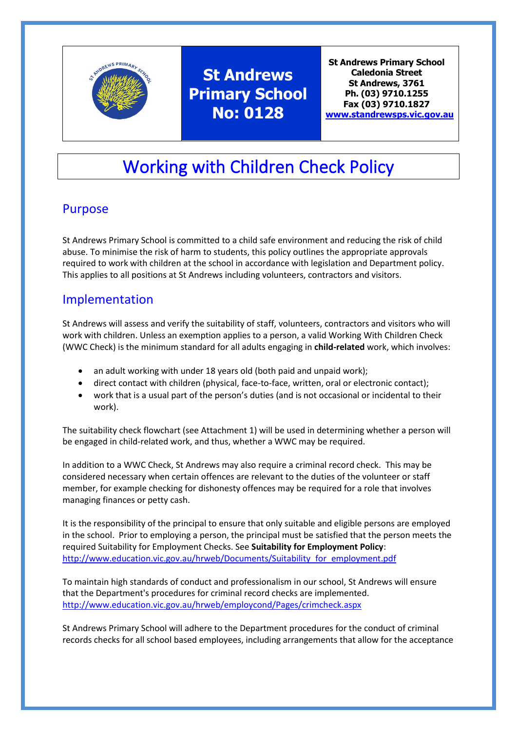

# **St Andrews Primary School No: 0128**

**St Andrews Primary School Caledonia Street St Andrews, 3761 Ph. (03) 9710.1255 Fax (03) 9710.1827 [www.standrewsps.vic.gov.au](http://www.standrewsps.vic.gov.au/)**

# Working with Children Check Policy

## Purpose

St Andrews Primary School is committed to a child safe environment and reducing the risk of child abuse. To minimise the risk of harm to students, this policy outlines the appropriate approvals required to work with children at the school in accordance with legislation and Department policy. This applies to all positions at St Andrews including volunteers, contractors and visitors.

## Implementation

St Andrews will assess and verify the suitability of staff, volunteers, contractors and visitors who will work with children. Unless an exemption applies to a person, a valid Working With Children Check (WWC Check) is the minimum standard for all adults engaging in **child-related** work, which involves:

- an adult working with under 18 years old (both paid and unpaid work);
- direct contact with children (physical, face-to-face, written, oral or electronic contact);
- work that is a usual part of the person's duties (and is not occasional or incidental to their work).

The suitability check flowchart (see Attachment 1) will be used in determining whether a person will be engaged in child-related work, and thus, whether a WWC may be required.

In addition to a WWC Check, St Andrews may also require a criminal record check. This may be considered necessary when certain offences are relevant to the duties of the volunteer or staff member, for example checking for dishonesty offences may be required for a role that involves managing finances or petty cash.

It is the responsibility of the principal to ensure that only suitable and eligible persons are employed in the school. Prior to employing a person, the principal must be satisfied that the person meets the required Suitability for Employment Checks. See **Suitability for Employment Policy**: [http://www.education.vic.gov.au/hrweb/Documents/Suitability\\_for\\_employment.pdf](http://www.education.vic.gov.au/hrweb/Documents/Suitability_for_employment.pdf)

To maintain high standards of conduct and professionalism in our school, St Andrews will ensure that the Department's procedures for criminal record checks are implemented. <http://www.education.vic.gov.au/hrweb/employcond/Pages/crimcheck.aspx>

St Andrews Primary School will adhere to the Department procedures for the conduct of criminal records checks for all school based employees, including arrangements that allow for the acceptance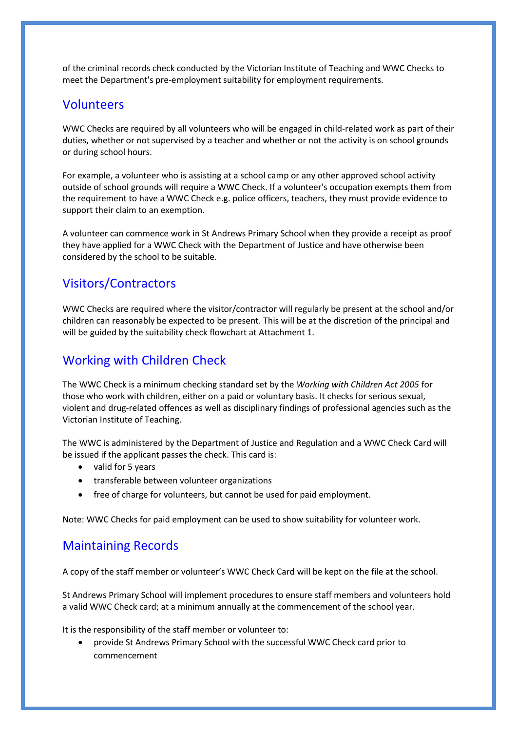of the criminal records check conducted by the Victorian Institute of Teaching and WWC Checks to meet the Department's pre-employment suitability for employment requirements.

### Volunteers

WWC Checks are required by all volunteers who will be engaged in child-related work as part of their duties, whether or not supervised by a teacher and whether or not the activity is on school grounds or during school hours.

For example, a volunteer who is assisting at a school camp or any other approved school activity outside of school grounds will require a WWC Check. If a volunteer's occupation exempts them from the requirement to have a WWC Check e.g. police officers, teachers, they must provide evidence to support their claim to an exemption.

A volunteer can commence work in St Andrews Primary School when they provide a receipt as proof they have applied for a WWC Check with the Department of Justice and have otherwise been considered by the school to be suitable.

### Visitors/Contractors

WWC Checks are required where the visitor/contractor will regularly be present at the school and/or children can reasonably be expected to be present. This will be at the discretion of the principal and will be guided by the suitability check flowchart at Attachment 1.

### Working with Children Check

The WWC Check is a minimum checking standard set by the *Working with Children Act 2005* for those who work with children, either on a paid or voluntary basis. It checks for serious sexual, violent and drug-related offences as well as disciplinary findings of professional agencies such as the Victorian Institute of Teaching.

The WWC is administered by the Department of Justice and Regulation and a WWC Check Card will be issued if the applicant passes the check. This card is:

- valid for 5 years
- transferable between volunteer organizations
- free of charge for volunteers, but cannot be used for paid employment.

Note: WWC Checks for paid employment can be used to show suitability for volunteer work.

### Maintaining Records

A copy of the staff member or volunteer's WWC Check Card will be kept on the file at the school.

St Andrews Primary School will implement procedures to ensure staff members and volunteers hold a valid WWC Check card; at a minimum annually at the commencement of the school year.

It is the responsibility of the staff member or volunteer to:

• provide St Andrews Primary School with the successful WWC Check card prior to commencement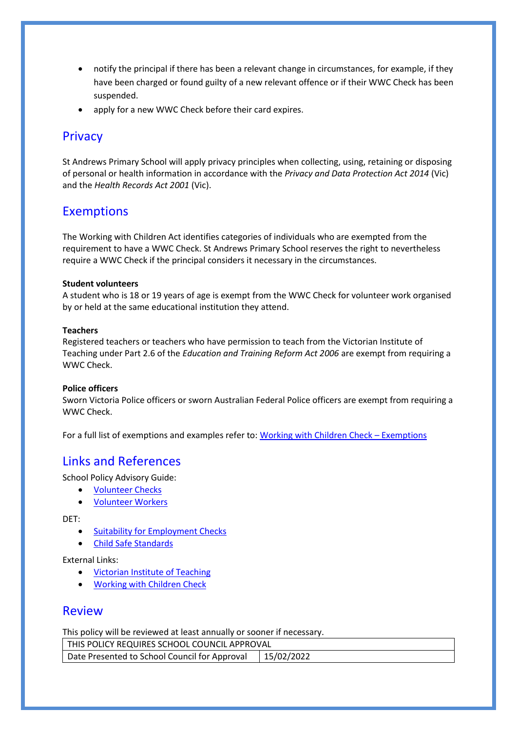- notify the principal if there has been a relevant change in circumstances, for example, if they have been charged or found guilty of a new relevant offence or if their WWC Check has been suspended.
- apply for a new WWC Check before their card expires.

### **Privacy**

St Andrews Primary School will apply privacy principles when collecting, using, retaining or disposing of personal or health information in accordance with the *Privacy and Data Protection Act 2014* (Vic) and the *Health Records Act 2001* (Vic).

### **Exemptions**

The Working with Children Act identifies categories of individuals who are exempted from the requirement to have a WWC Check. St Andrews Primary School reserves the right to nevertheless require a WWC Check if the principal considers it necessary in the circumstances.

#### **Student volunteers**

A student who is 18 or 19 years of age is exempt from the WWC Check for volunteer work organised by or held at the same educational institution they attend.

#### **Teachers**

Registered teachers or teachers who have permission to teach from the Victorian Institute of Teaching under Part 2.6 of the *Education and Training Reform Act 2006* are exempt from requiring a WWC Check.

#### **Police officers**

Sworn Victoria Police officers or sworn Australian Federal Police officers are exempt from requiring a WWC Check.

For a full list of exemptions and examples refer to: [Working with Children Check](http://www.workingwithchildren.vic.gov.au/home/about+the+check/who+needs+a+check/exemptions/) – Exemptions

### Links and References

School Policy Advisory Guide:

- [Volunteer Checks](http://www.education.vic.gov.au/school/principals/spag/community/pages/volunteers.aspx)
- [Volunteer Workers](http://www.education.vic.gov.au/school/principals/spag/governance/Pages/volunteers.aspx)

DET:

- [Suitability for Employment Checks](http://www.education.vic.gov.au/hrweb/Documents/Suitability_for_employment.pdf)
- [Child Safe Standards](http://www.education.vic.gov.au/school/teachers/health/childprotection/Pages/safeenviro.aspx?Redirect=1)

External Links:

- [Victorian Institute of Teaching](http://www.vit.vic.edu.au/)
- [Working with Children Check](http://www.workingwithchildren.vic.gov.au/)

### Review

This policy will be reviewed at least annually or sooner if necessary.

THIS POLICY REQUIRES SCHOOL COUNCIL APPROVAL Date Presented to School Council for Approval | 15/02/2022